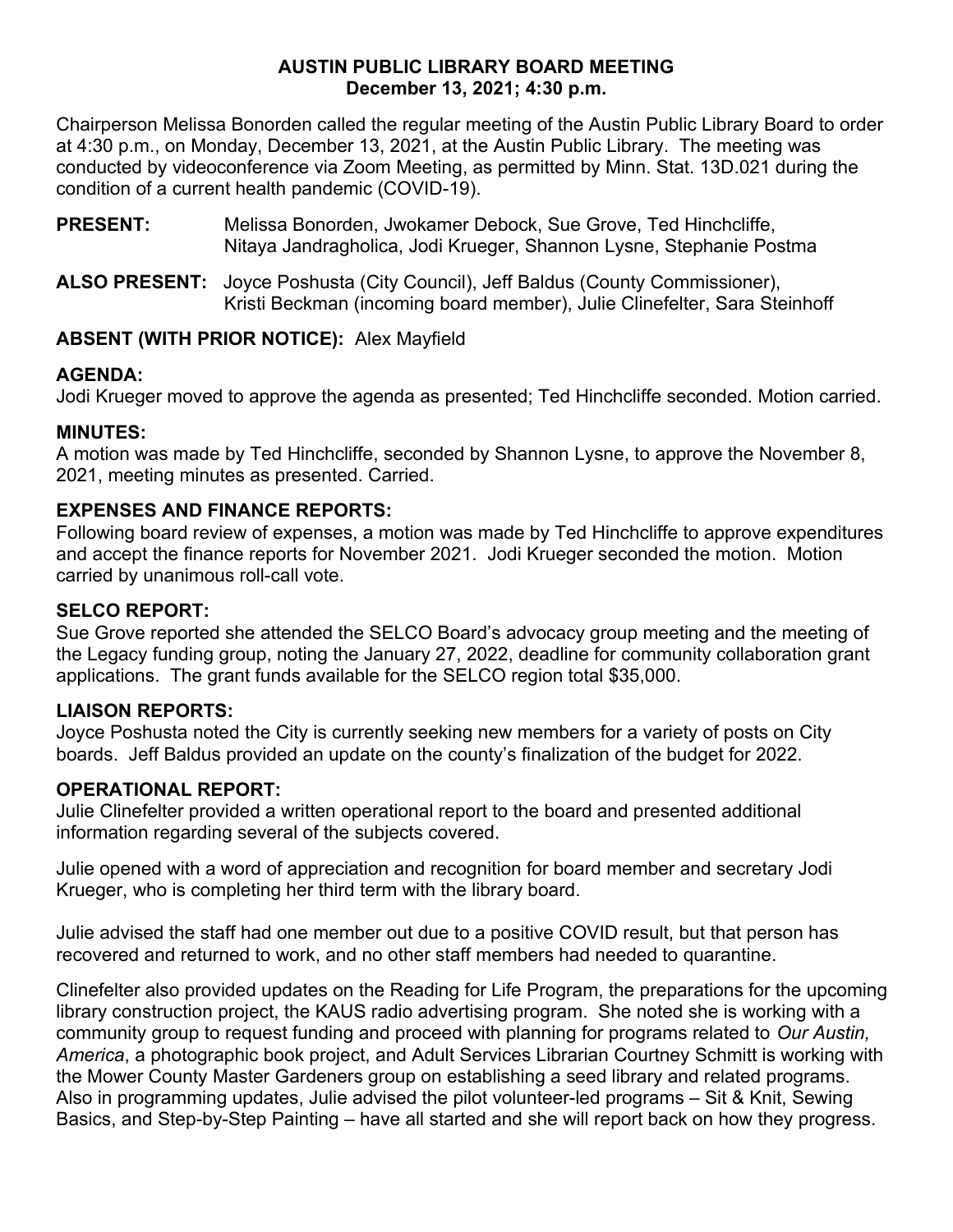#### **AUSTIN PUBLIC LIBRARY BOARD MEETING December 13, 2021; 4:30 p.m.**

Chairperson Melissa Bonorden called the regular meeting of the Austin Public Library Board to order at 4:30 p.m., on Monday, December 13, 2021, at the Austin Public Library. The meeting was conducted by videoconference via Zoom Meeting, as permitted by Minn. Stat. 13D.021 during the condition of a current health pandemic (COVID-19).

**PRESENT:** Melissa Bonorden, Jwokamer Debock, Sue Grove, Ted Hinchcliffe, Nitaya Jandragholica, Jodi Krueger, Shannon Lysne, Stephanie Postma

**ALSO PRESENT:** Joyce Poshusta (City Council), Jeff Baldus (County Commissioner), Kristi Beckman (incoming board member), Julie Clinefelter, Sara Steinhoff

### **ABSENT (WITH PRIOR NOTICE):** Alex Mayfield

### **AGENDA:**

Jodi Krueger moved to approve the agenda as presented; Ted Hinchcliffe seconded. Motion carried.

### **MINUTES:**

A motion was made by Ted Hinchcliffe, seconded by Shannon Lysne, to approve the November 8, 2021, meeting minutes as presented. Carried.

# **EXPENSES AND FINANCE REPORTS:**

Following board review of expenses, a motion was made by Ted Hinchcliffe to approve expenditures and accept the finance reports for November 2021. Jodi Krueger seconded the motion. Motion carried by unanimous roll-call vote.

## **SELCO REPORT:**

Sue Grove reported she attended the SELCO Board's advocacy group meeting and the meeting of the Legacy funding group, noting the January 27, 2022, deadline for community collaboration grant applications. The grant funds available for the SELCO region total \$35,000.

### **LIAISON REPORTS:**

Joyce Poshusta noted the City is currently seeking new members for a variety of posts on City boards. Jeff Baldus provided an update on the county's finalization of the budget for 2022.

# **OPERATIONAL REPORT:**

Julie Clinefelter provided a written operational report to the board and presented additional information regarding several of the subjects covered.

Julie opened with a word of appreciation and recognition for board member and secretary Jodi Krueger, who is completing her third term with the library board.

Julie advised the staff had one member out due to a positive COVID result, but that person has recovered and returned to work, and no other staff members had needed to quarantine.

Clinefelter also provided updates on the Reading for Life Program, the preparations for the upcoming library construction project, the KAUS radio advertising program. She noted she is working with a community group to request funding and proceed with planning for programs related to *Our Austin, America*, a photographic book project, and Adult Services Librarian Courtney Schmitt is working with the Mower County Master Gardeners group on establishing a seed library and related programs. Also in programming updates, Julie advised the pilot volunteer-led programs – Sit & Knit, Sewing Basics, and Step-by-Step Painting – have all started and she will report back on how they progress.